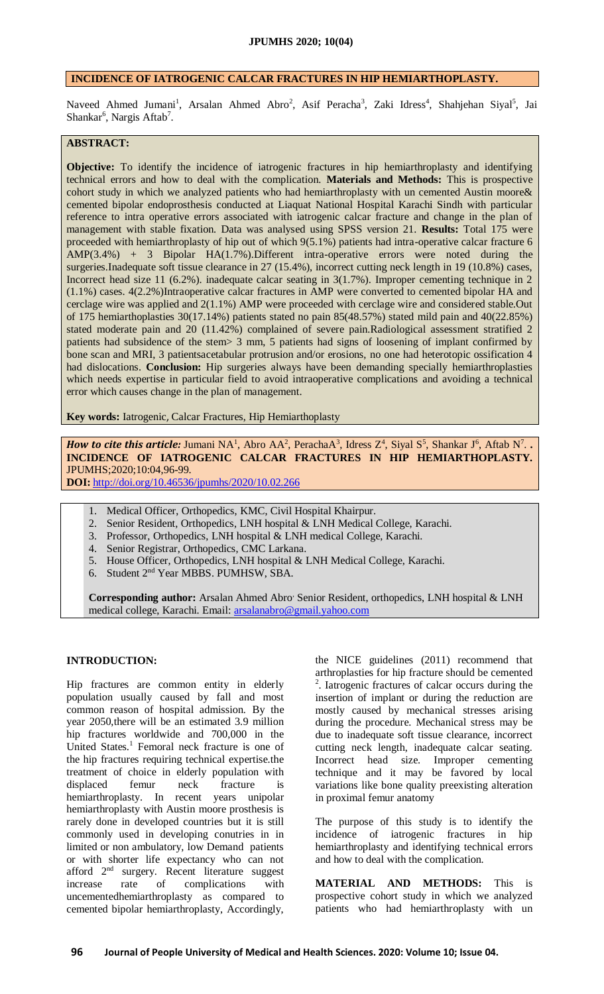## **INCIDENCE OF IATROGENIC CALCAR FRACTURES IN HIP HEMIARTHOPLASTY.**

Naveed Ahmed Jumani<sup>1</sup>, Arsalan Ahmed Abro<sup>2</sup>, Asif Peracha<sup>3</sup>, Zaki Idress<sup>4</sup>, Shahjehan Siyal<sup>5</sup>, Jai Shankar<sup>6</sup>, Nargis Aftab<sup>7</sup>.

# **ABSTRACT:**

**Objective:** To identify the incidence of iatrogenic fractures in hip hemiarthroplasty and identifying technical errors and how to deal with the complication. **Materials and Methods:** This is prospective cohort study in which we analyzed patients who had hemiarthroplasty with un cemented Austin moore& cemented bipolar endoprosthesis conducted at Liaquat National Hospital Karachi Sindh with particular reference to intra operative errors associated with iatrogenic calcar fracture and change in the plan of management with stable fixation. Data was analysed using SPSS version 21. **Results:** Total 175 were proceeded with hemiarthroplasty of hip out of which 9(5.1%) patients had intra-operative calcar fracture 6 AMP(3.4%) + 3 Bipolar HA(1.7%).Different intra-operative errors were noted during the surgeries.Inadequate soft tissue clearance in 27 (15.4%), incorrect cutting neck length in 19 (10.8%) cases, Incorrect head size 11 (6.2%). inadequate calcar seating in 3(1.7%). Improper cementing technique in 2 (1.1%) cases. 4(2.2%)Intraoperative calcar fractures in AMP were converted to cemented bipolar HA and cerclage wire was applied and 2(1.1%) AMP were proceeded with cerclage wire and considered stable.Out of 175 hemiarthoplasties 30(17.14%) patients stated no pain 85(48.57%) stated mild pain and 40(22.85%) stated moderate pain and 20 (11.42%) complained of severe pain.Radiological assessment stratified 2 patients had subsidence of the stem> 3 mm, 5 patients had signs of loosening of implant confirmed by bone scan and MRI, 3 patientsacetabular protrusion and/or erosions, no one had heterotopic ossification 4 had dislocations. **Conclusion:** Hip surgeries always have been demanding specially hemiarthroplasties which needs expertise in particular field to avoid intraoperative complications and avoiding a technical error which causes change in the plan of management.

**Key words:** Iatrogenic, Calcar Fractures, Hip Hemiarthoplasty

*How to cite this article:* Jumani NA<sup>1</sup>, Abro AA<sup>2</sup>, PerachaA<sup>3</sup>, Idress  $Z^4$ , Siyal S<sup>5</sup>, Shankar J<sup>6</sup>, Aftab N<sup>7</sup>... **INCIDENCE OF IATROGENIC CALCAR FRACTURES IN HIP HEMIARTHOPLASTY.** JPUMHS;2020;10:04,96-99.

**DOI:** <http://doi.org/10.46536/jpumhs/2020/10.02.266>

- 1. Medical Officer, Orthopedics, KMC, Civil Hospital Khairpur.
- 2. Senior Resident, Orthopedics, LNH hospital & LNH Medical College, Karachi.
- 3. Professor, Orthopedics, LNH hospital & LNH medical College, Karachi.
- 4. Senior Registrar, Orthopedics, CMC Larkana.
- 5. House Officer, Orthopedics, LNH hospital & LNH Medical College, Karachi.
- 6. Student 2nd Year MBBS. PUMHSW, SBA.

**Corresponding author:** Arsalan Ahmed Abro, Senior Resident, orthopedics, LNH hospital & LNH medical college, Karachi. Email: [arsalanabro@gmail.yahoo.com](mailto:arsalanabro@gmail.yahoo.com)

### **INTRODUCTION:**

Hip fractures are common entity in elderly population usually caused by fall and most common reason of hospital admission. By the year 2050,there will be an estimated 3.9 million hip fractures worldwide and 700,000 in the United States.<sup>1</sup> Femoral neck fracture is one of the hip fractures requiring technical expertise.the treatment of choice in elderly population with displaced femur neck fracture is hemiarthroplasty. In recent years unipolar hemiarthroplasty with Austin moore prosthesis is rarely done in developed countries but it is still commonly used in developing conutries in in limited or non ambulatory, low Demand patients or with shorter life expectancy who can not afford 2nd surgery. Recent literature suggest increase rate of complications with uncementedhemiarthroplasty as compared to cemented bipolar hemiarthroplasty, Accordingly,

the NICE guidelines (2011) recommend that arthroplasties for hip fracture should be cemented 2 . Iatrogenic fractures of calcar occurs during the insertion of implant or during the reduction are mostly caused by mechanical stresses arising during the procedure. Mechanical stress may be due to inadequate soft tissue clearance, incorrect cutting neck length, inadequate calcar seating. Incorrect head size. Improper cementing technique and it may be favored by local variations like bone quality preexisting alteration in proximal femur anatomy

The purpose of this study is to identify the incidence of iatrogenic fractures in hip hemiarthroplasty and identifying technical errors and how to deal with the complication.

**MATERIAL AND METHODS:** This is prospective cohort study in which we analyzed patients who had hemiarthroplasty with un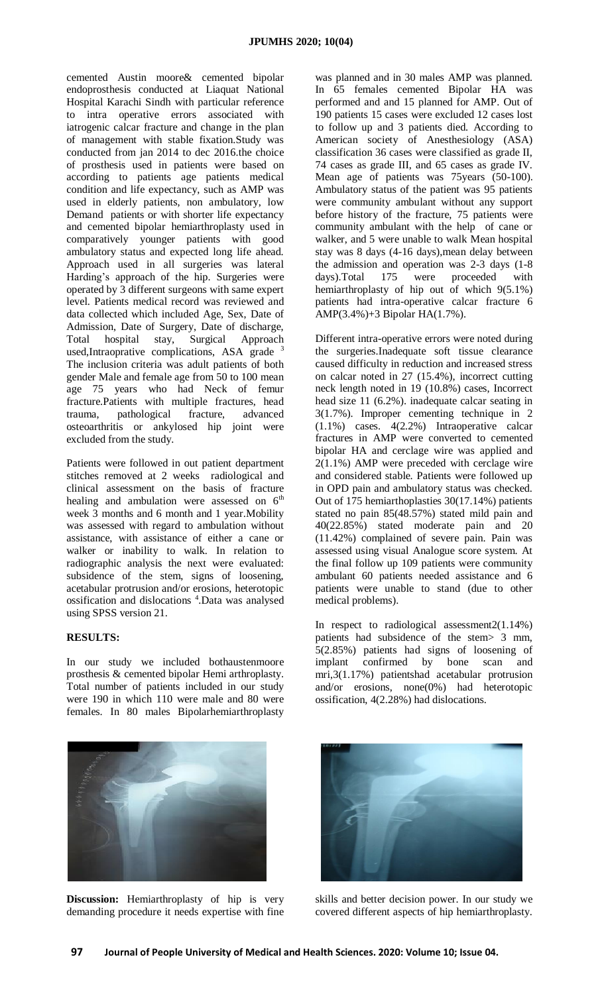cemented Austin moore& cemented bipolar endoprosthesis conducted at Liaquat National Hospital Karachi Sindh with particular reference to intra operative errors associated with iatrogenic calcar fracture and change in the plan of management with stable fixation.Study was conducted from jan 2014 to dec 2016.the choice of prosthesis used in patients were based on according to patients age patients medical condition and life expectancy, such as AMP was used in elderly patients, non ambulatory, low Demand patients or with shorter life expectancy and cemented bipolar hemiarthroplasty used in comparatively younger patients with good ambulatory status and expected long life ahead. Approach used in all surgeries was lateral Harding's approach of the hip. Surgeries were operated by 3 different surgeons with same expert level. Patients medical record was reviewed and data collected which included Age, Sex, Date of Admission, Date of Surgery, Date of discharge, Total hospital stay, Surgical Approach used,Intraoprative complications, ASA grade  $3$ The inclusion criteria was adult patients of both gender Male and female age from 50 to 100 mean age 75 years who had Neck of femur fracture.Patients with multiple fractures, head trauma, pathological fracture, advanced osteoarthritis or ankylosed hip joint were excluded from the study.

Patients were followed in out patient department stitches removed at 2 weeks radiological and clinical assessment on the basis of fracture healing and ambulation were assessed on  $6<sup>th</sup>$ week 3 months and 6 month and 1 year.Mobility was assessed with regard to ambulation without assistance, with assistance of either a cane or walker or inability to walk. In relation to radiographic analysis the next were evaluated: subsidence of the stem, signs of loosening, acetabular protrusion and/or erosions, heterotopic ossification and dislocations <sup>4</sup>. Data was analysed using SPSS version 21.

#### **RESULTS:**

In our study we included bothaustenmoore prosthesis & cemented bipolar Hemi arthroplasty. Total number of patients included in our study were 190 in which 110 were male and 80 were females. In 80 males Bipolarhemiarthroplasty

was planned and in 30 males AMP was planned. In 65 females cemented Bipolar HA was performed and and 15 planned for AMP. Out of 190 patients 15 cases were excluded 12 cases lost to follow up and 3 patients died. According to American society of Anesthesiology (ASA) classification 36 cases were classified as grade II, 74 cases as grade III, and 65 cases as grade IV. Mean age of patients was 75years (50-100). Ambulatory status of the patient was 95 patients were community ambulant without any support before history of the fracture, 75 patients were community ambulant with the help of cane or walker, and 5 were unable to walk Mean hospital stay was 8 days (4-16 days),mean delay between the admission and operation was 2-3 days (1-8 days).Total 175 were proceeded with hemiarthroplasty of hip out of which 9(5.1%) patients had intra-operative calcar fracture 6 AMP(3.4%)+3 Bipolar HA(1.7%).

Different intra-operative errors were noted during the surgeries.Inadequate soft tissue clearance caused difficulty in reduction and increased stress on calcar noted in 27 (15.4%), incorrect cutting neck length noted in 19 (10.8%) cases, Incorrect head size 11 (6.2%). inadequate calcar seating in 3(1.7%). Improper cementing technique in 2 (1.1%) cases. 4(2.2%) Intraoperative calcar fractures in AMP were converted to cemented bipolar HA and cerclage wire was applied and 2(1.1%) AMP were preceded with cerclage wire and considered stable. Patients were followed up in OPD pain and ambulatory status was checked. Out of 175 hemiarthoplasties 30(17.14%) patients stated no pain 85(48.57%) stated mild pain and 40(22.85%) stated moderate pain and 20 (11.42%) complained of severe pain. Pain was assessed using visual Analogue score system. At the final follow up 109 patients were community ambulant 60 patients needed assistance and 6 patients were unable to stand (due to other medical problems).

In respect to radiological assessment2(1.14%) patients had subsidence of the stem> 3 mm, 5(2.85%) patients had signs of loosening of implant confirmed by bone scan and mri,3(1.17%) patientshad acetabular protrusion and/or erosions, none(0%) had heterotopic ossification, 4(2.28%) had dislocations.



**Discussion:** Hemiarthroplasty of hip is very demanding procedure it needs expertise with fine



skills and better decision power. In our study we covered different aspects of hip hemiarthroplasty.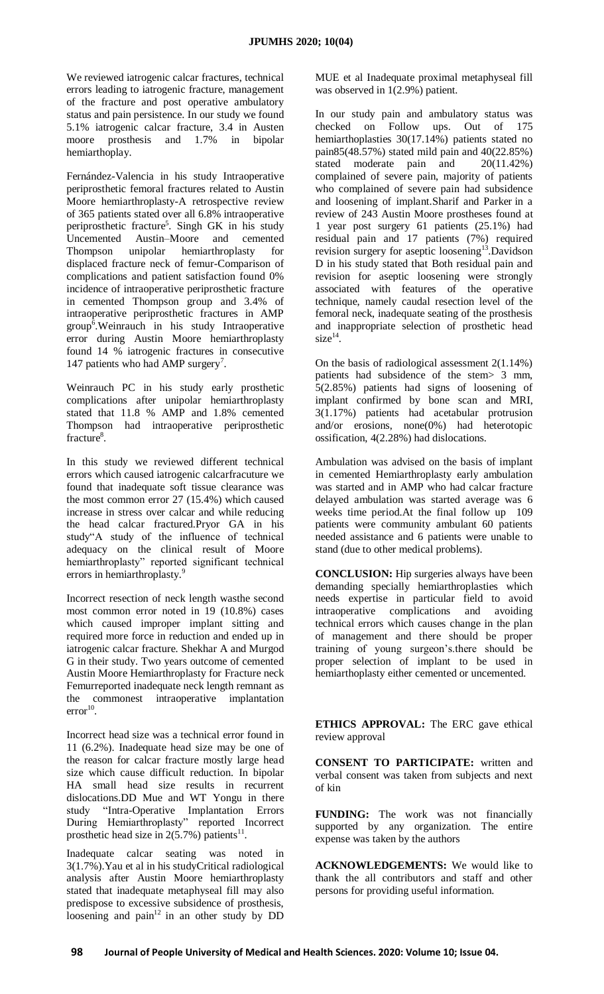We reviewed iatrogenic calcar fractures, technical errors leading to iatrogenic fracture, management of the fracture and post operative ambulatory status and pain persistence. In our study we found 5.1% iatrogenic calcar fracture, 3.4 in Austen moore prosthesis and 1.7% in bipolar hemiarthoplay.

Fernández-Valencia in his study Intraoperative periprosthetic femoral fractures related to Austin Moore hemiarthroplasty-A retrospective review of 365 patients stated over all 6.8% intraoperative periprosthetic fracture<sup>5</sup>. Singh GK in his study Uncemented Austin–Moore and cemented Thompson unipolar hemiarthroplasty for displaced fracture neck of femur-Comparison of complications and patient satisfaction found 0% incidence of intraoperative periprosthetic fracture in cemented Thompson group and 3.4% of intraoperative periprosthetic fractures in AMP  $group^6$ . Weinrauch in his study Intraoperative error during Austin Moore hemiarthroplasty found 14 % iatrogenic fractures in consecutive 147 patients who had AMP surgery<sup>7</sup>.

Weinrauch PC in his study early prosthetic complications after unipolar hemiarthroplasty stated that 11.8 % AMP and 1.8% cemented Thompson had intraoperative periprosthetic fracture<sup>8</sup>.

In this study we reviewed different technical errors which caused iatrogenic calcarfracuture we found that inadequate soft tissue clearance was the most common error 27 (15.4%) which caused increase in stress over calcar and while reducing the head calcar fractured.Pryor GA in his study"A study of the influence of technical adequacy on the clinical result of Moore hemiarthroplasty" reported significant technical errors in hemiarthroplasty.<sup>9</sup>

Incorrect resection of neck length wasthe second most common error noted in 19 (10.8%) cases which caused improper implant sitting and required more force in reduction and ended up in iatrogenic calcar fracture. Shekhar A and Murgod G in their study. Two years outcome of cemented Austin Moore Hemiarthroplasty for Fracture neck Femurreported inadequate neck length remnant as the commonest intraoperative implantation  $error<sup>10</sup>$ .

Incorrect head size was a technical error found in 11 (6.2%). Inadequate head size may be one of the reason for calcar fracture mostly large head size which cause difficult reduction. In bipolar HA small head size results in recurrent dislocations.DD Mue and WT Yongu in there study "Intra-Operative Implantation Errors During Hemiarthroplasty" reported Incorrect prosthetic head size in  $2(5.7%)$  patients<sup>11</sup>.

Inadequate calcar seating was noted in 3(1.7%).Yau et al in his studyCritical radiological analysis after Austin Moore hemiarthroplasty stated that inadequate metaphyseal fill may also predispose to excessive subsidence of prosthesis, loosening and pain $12$  in an other study by DD

MUE et al Inadequate proximal metaphyseal fill was observed in 1(2.9%) patient.

In our study pain and ambulatory status was checked on Follow ups. Out of 175 hemiarthoplasties 30(17.14%) patients stated no pain85(48.57%) stated mild pain and 40(22.85%) stated moderate pain and 20(11.42%) complained of severe pain, majority of patients who complained of severe pain had subsidence and loosening of implant.Sharif and Parker in a review of 243 Austin Moore prostheses found at 1 year post surgery 61 patients (25.1%) had residual pain and 17 patients (7%) required revision surgery for aseptic loosening<sup>13</sup>. Davidson D in his study stated that Both residual pain and revision for aseptic loosening were strongly associated with features of the operative technique, namely caudal resection level of the femoral neck, inadequate seating of the prosthesis and inappropriate selection of prosthetic head  $size^{14}$ .

On the basis of radiological assessment 2(1.14%) patients had subsidence of the stem> 3 mm, 5(2.85%) patients had signs of loosening of implant confirmed by bone scan and MRI, 3(1.17%) patients had acetabular protrusion and/or erosions, none(0%) had heterotopic ossification, 4(2.28%) had dislocations.

Ambulation was advised on the basis of implant in cemented Hemiarthroplasty early ambulation was started and in AMP who had calcar fracture delayed ambulation was started average was 6 weeks time period.At the final follow up 109 patients were community ambulant 60 patients needed assistance and 6 patients were unable to stand (due to other medical problems).

**CONCLUSION:** Hip surgeries always have been demanding specially hemiarthroplasties which needs expertise in particular field to avoid intraoperative complications and avoiding technical errors which causes change in the plan of management and there should be proper training of young surgeon's.there should be proper selection of implant to be used in hemiarthoplasty either cemented or uncemented.

**ETHICS APPROVAL:** The ERC gave ethical review approval

**CONSENT TO PARTICIPATE:** written and verbal consent was taken from subjects and next of kin

**FUNDING:** The work was not financially supported by any organization. The entire expense was taken by the authors

**ACKNOWLEDGEMENTS:** We would like to thank the all contributors and staff and other persons for providing useful information.